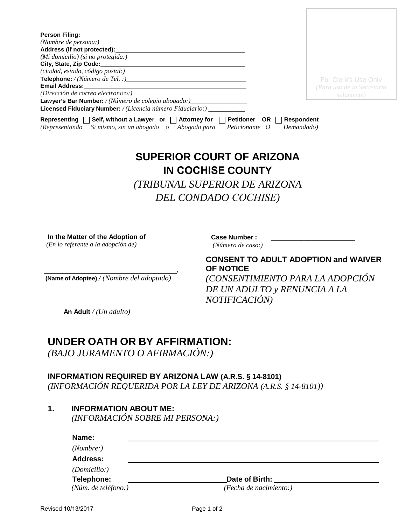| Person Filing: <b>Example</b>                                                               |                   |                            |
|---------------------------------------------------------------------------------------------|-------------------|----------------------------|
| (Nombre de persona:)                                                                        |                   |                            |
| Address (if not protected):                                                                 |                   |                            |
| (Mi domicilio) (si no protegida:)                                                           |                   |                            |
| City, State, Zip Code:                                                                      |                   |                            |
| (ciudad, estado, código postal:)                                                            |                   |                            |
|                                                                                             |                   | For Clerk's Use Only       |
| <b>Email Address:</b>                                                                       |                   | (Para uso de la Secretaria |
| (Dirección de correo electrónico:)                                                          |                   | solamente)                 |
| Lawyer's Bar Number: / (Número de colegio abogado:)_____________________________            |                   |                            |
| <b>Licensed Fiduciary Number:</b> / <i>(Licencia número Fiduciario:)</i>                    |                   |                            |
| $\Box$ Self, without a Lawyer or $\Box$ Attorney for<br><b>Petitioner</b><br>Representing [ | OR.<br>Respondent |                            |

# **SUPERIOR COURT OF ARIZONA IN COCHISE COUNTY**

*(Representando Sí mismo, sin un abogado o Abogado para Peticionante O Demandado)*

*(TRIBUNAL SUPERIOR DE ARIZONA DEL CONDADO COCHISE)* 

**In the Matter of the Adoption of** *(En lo referente a la adopción de)*

**Case Number :** \_\_\_\_\_\_\_\_\_\_\_\_\_\_\_\_\_\_\_\_\_\_\_

*(Número de caso:)* 

\_\_\_\_\_\_\_\_\_\_\_\_\_\_\_\_\_\_\_\_\_\_\_\_\_\_\_\_\_\_\_\_\_\_\_\_**, (Name of Adoptee)** */ (Nombre del adoptado)*

**CONSENT TO ADULT ADOPTION and WAIVER OF NOTICE**

*(CONSENTIMIENTO PARA LA ADOPCIÓN DE UN ADULTO y RENUNCIA A LA NOTIFICACIÓN)*

 **An Adult** */ (Un adulto)* 

## **UNDER OATH OR BY AFFIRMATION:**

*(BAJO JURAMENTO O AFIRMACIÓN:)*

### **INFORMATION REQUIRED BY ARIZONA LAW (A.R.S. § 14-8101)**

*(INFORMACIÓN REQUERIDA POR LA LEY DE ARIZONA (A.R.S. § 14-8101))*

**1. INFORMATION ABOUT ME:**

*(INFORMACIÓN SOBRE MI PERSONA:)*

| Name:               |                        |  |
|---------------------|------------------------|--|
| (Nonbre: )          |                        |  |
| <b>Address:</b>     |                        |  |
| (Domicilio:)        |                        |  |
| Telephone:          | Date of Birth:         |  |
| (Núm. de teléfono:) | (Fecha de nacimiento:) |  |